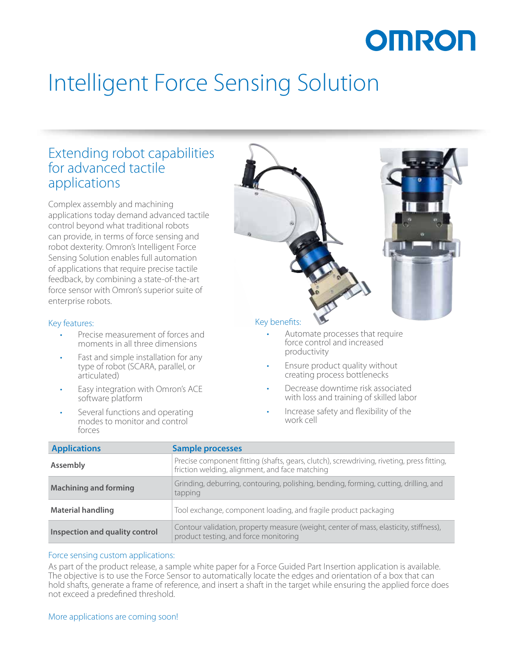# OMRON

## Intelligent Force Sensing Solution

## Extending robot capabilities for advanced tactile applications

Complex assembly and machining applications today demand advanced tactile control beyond what traditional robots can provide, in terms of force sensing and robot dexterity. Omron's Intelligent Force Sensing Solution enables full automation of applications that require precise tactile feedback, by combining a state-of-the-art force sensor with Omron's superior suite of enterprise robots.

### Key features:

- Precise measurement of forces and moments in all three dimensions
- Fast and simple installation for any type of robot (SCARA, parallel, or articulated)
- Easy integration with Omron's ACE software platform
- Several functions and operating modes to monitor and control forces



## Key benefits:

- Automate processes that require force control and increased productivity
- Ensure product quality without creating process bottlenecks
- Decrease downtime risk associated with loss and training of skilled labor
- Increase safety and flexibility of the work cell

| <b>Applications</b>            | <b>Sample processes</b>                                                                                                                     |
|--------------------------------|---------------------------------------------------------------------------------------------------------------------------------------------|
| Assembly                       | Precise component fitting (shafts, gears, clutch), screwdriving, riveting, press fitting,<br>friction welding, alignment, and face matching |
| <b>Machining and forming</b>   | Grinding, deburring, contouring, polishing, bending, forming, cutting, drilling, and<br>tapping                                             |
| <b>Material handling</b>       | Tool exchange, component loading, and fragile product packaging                                                                             |
| Inspection and quality control | Contour validation, property measure (weight, center of mass, elasticity, stiffness),<br>product testing, and force monitoring              |

### Force sensing custom applications:

As part of the product release, a sample white paper for a Force Guided Part Insertion application is available. The objective is to use the Force Sensor to automatically locate the edges and orientation of a box that can hold shafts, generate a frame of reference, and insert a shaft in the target while ensuring the applied force does not exceed a predefined threshold.